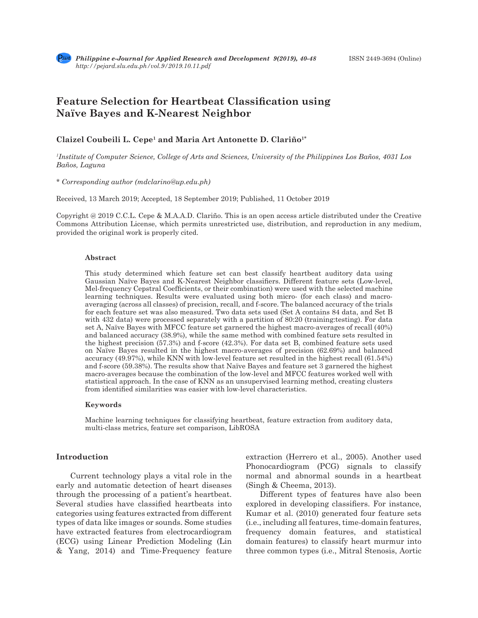## **Feature Selection for Heartbeat Classification using Naïve Bayes and K-Nearest Neighbor**

### **Claizel Coubeili L. Cepe1 and Maria Art Antonette D. Clariño1\***

*1 Institute of Computer Science, College of Arts and Sciences, University of the Philippines Los Baños, 4031 Los Baños, Laguna*

*\* Corresponding author (mdclarino@up.edu.ph)*

Received, 13 March 2019; Accepted, 18 September 2019; Published, 11 October 2019

Copyright @ 2019 C.C.L. Cepe & M.A.A.D. Clariño. This is an open access article distributed under the Creative Commons Attribution License, which permits unrestricted use, distribution, and reproduction in any medium, provided the original work is properly cited.

#### **Abstract**

This study determined which feature set can best classify heartbeat auditory data using Gaussian Naïve Bayes and K-Nearest Neighbor classifiers. Different feature sets (Low-level, Mel-frequency Cepstral Coefficients, or their combination) were used with the selected machine learning techniques. Results were evaluated using both micro- (for each class) and macroaveraging (across all classes) of precision, recall, and f-score. The balanced accuracy of the trials for each feature set was also measured. Two data sets used (Set A contains 84 data, and Set B with 432 data) were processed separately with a partition of 80:20 (training: testing). For data set A, Naïve Bayes with MFCC feature set garnered the highest macro-averages of recall (40%) and balanced accuracy (38.9%), while the same method with combined feature sets resulted in the highest precision (57.3%) and f-score (42.3%). For data set B, combined feature sets used on Naïve Bayes resulted in the highest macro-averages of precision (62.69%) and balanced accuracy (49.97%), while KNN with low-level feature set resulted in the highest recall (61.54%) and f-score (59.38%). The results show that Naïve Bayes and feature set 3 garnered the highest macro-averages because the combination of the low-level and MFCC features worked well with statistical approach. In the case of KNN as an unsupervised learning method, creating clusters from identified similarities was easier with low-level characteristics.

#### **Keywords**

Machine learning techniques for classifying heartbeat, feature extraction from auditory data, multi-class metrics, feature set comparison, LibROSA

#### **Introduction**

Current technology plays a vital role in the early and automatic detection of heart diseases through the processing of a patient's heartbeat. Several studies have classified heartbeats into categories using features extracted from different types of data like images or sounds. Some studies have extracted features from electrocardiogram (ECG) using Linear Prediction Modeling (Lin & Yang, 2014) and Time-Frequency feature extraction (Herrero et al., 2005). Another used Phonocardiogram (PCG) signals to classify normal and abnormal sounds in a heartbeat (Singh & Cheema, 2013).

Different types of features have also been explored in developing classifiers. For instance, Kumar et al. (2010) generated four feature sets (i.e., including all features, time-domain features, frequency domain features, and statistical domain features) to classify heart murmur into three common types (i.e., Mitral Stenosis, Aortic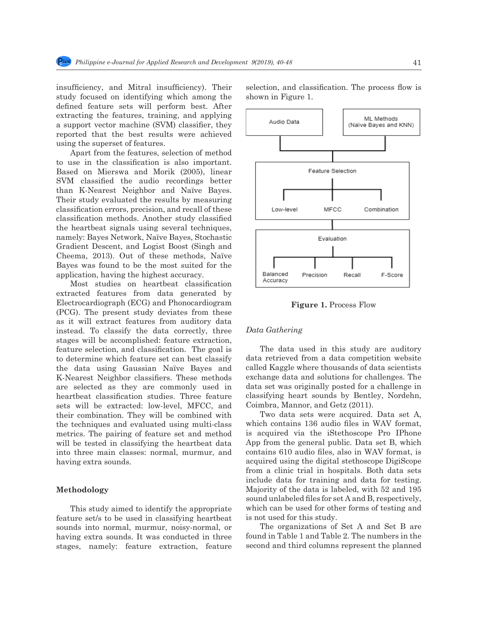insufficiency, and Mitral insufficiency). Their study focused on identifying which among the defined feature sets will perform best. After extracting the features, training, and applying a support vector machine (SVM) classifier, they reported that the best results were achieved using the superset of features.

Apart from the features, selection of method to use in the classification is also important. Based on Mierswa and Morik (2005), linear SVM classified the audio recordings better than K-Nearest Neighbor and Naïve Bayes. Their study evaluated the results by measuring classification errors, precision, and recall of these classification methods. Another study classified the heartbeat signals using several techniques, namely: Bayes Network, Naïve Bayes, Stochastic Gradient Descent, and Logist Boost (Singh and Cheema, 2013). Out of these methods, Naïve Bayes was found to be the most suited for the application, having the highest accuracy.

Most studies on heartbeat classification extracted features from data generated by Electrocardiograph (ECG) and Phonocardiogram (PCG). The present study deviates from these as it will extract features from auditory data instead. To classify the data correctly, three stages will be accomplished: feature extraction, feature selection, and classification. The goal is to determine which feature set can best classify the data using Gaussian Naïve Bayes and K-Nearest Neighbor classifiers. These methods are selected as they are commonly used in heartbeat classification studies. Three feature sets will be extracted: low-level, MFCC, and their combination. They will be combined with the techniques and evaluated using multi-class metrics. The pairing of feature set and method will be tested in classifying the heartbeat data into three main classes: normal, murmur, and having extra sounds.

#### **Methodology**

This study aimed to identify the appropriate feature set/s to be used in classifying heartbeat sounds into normal, murmur, noisy-normal, or having extra sounds. It was conducted in three stages, namely: feature extraction, feature selection, and classification. The process flow is shown in Figure 1.



**Figure 1.** Process Flow

#### *Data Gathering*

The data used in this study are auditory data retrieved from a data competition website called Kaggle where thousands of data scientists exchange data and solutions for challenges. The data set was originally posted for a challenge in classifying heart sounds by Bentley, Nordehn, Coimbra, Mannor, and Getz (2011).

Two data sets were acquired. Data set A, which contains 136 audio files in WAV format, is acquired via the iStethoscope Pro IPhone App from the general public. Data set B, which contains 610 audio files, also in WAV format, is acquired using the digital stethoscope DigiScope from a clinic trial in hospitals. Both data sets include data for training and data for testing. Majority of the data is labeled, with 52 and 195 sound unlabeled files for set A and B, respectively, which can be used for other forms of testing and is not used for this study.

The organizations of Set A and Set B are found in Table 1 and Table 2. The numbers in the second and third columns represent the planned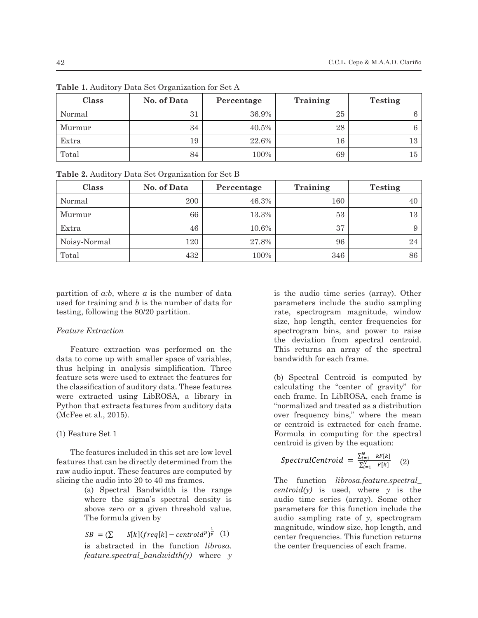| Class  | No. of Data | Percentage | Training |    |
|--------|-------------|------------|----------|----|
| Normal | 31          | 36.9%      | 25       | 6. |
| Murmur | 34          | 40.5%      | 28       | 6  |
| Extra  | 19          | 22.6%      | 16       | 13 |
| Total  | 84          | 100%       | 69       | 15 |

**Table 1.** Auditory Data Set Organization for Set A

**Table 2.** Auditory Data Set Organization for Set B

| Class        | No. of Data | Percentage | Training | <b>Testing</b> |
|--------------|-------------|------------|----------|----------------|
| Normal       | 200         | 46.3%      | 160      | 40             |
| Murmur       | 66          | 13.3%      | 53       | 13             |
| Extra        | 46          | 10.6%      | 37       | 9              |
| Noisy-Normal | 120         | 27.8%      | 96       | 24             |
| Total        | 432         | 100%       | 346      | 86             |

partition of *a:b*, where *a* is the number of data partition of  $u$ ,  $v$ , where  $u$  is the number of data for used for training and  $b$  is the number of data for testing, following the 80/20 partition.

## *Feature Extraction* spect

Feature extraction was performed on the data to come up with smaller space of variables, band thus helping in analysis simplification. Three feature sets were used to extract the features for the classification of auditory data. These features calcu were extracted using LibROSA, a library in Python that extracts features from auditory data (McFee et al., 2015).

### $(1)$  Feature Set 1  $\qquad \qquad$  For the feature sets were used to extract the feature sets were used to extract the features for the features for the features for the features for the features for the features for the featur

The features included in this set are low level features that can be directly determined from the raw audio input. These features are computed by raw addio input. These readines are composition of the audio into 20 to 40 ms frames.  $\Gamma$ 

(a) Spectral Bandwidth is the range cent where the sigma's spectral density is a above zero or a given threshold value.  $\overline{a}$  parameters The formula given by

 $SB = (\sum S[k](freq[k] - centroid^p)^{\frac{1}{p}} (1)$ is abstracted in the function *librosa*. the *feature.spectral\_bandwidth(y)* where *y*  $\frac{1}{\mu(y)}$  where *y* 

 $\mathbf{the}$ is the audio time series (array). Other parameters include the audio sampling rate, spectrogram magnitude, window size, hop length, center frequencies for spectrogram bins, and power to raise the deviation from spectral centroid. This returns an array of the spectral bandwidth for each frame.

 $\overline{0}$  or  $\overline{0}$  at the data to come up with smaller space of variables, thus  $\overline{0}$  $102$  centro of auditory data. These features were extracted using Library in  $\mathcal{L}$ (b) Spectral Centroid is computed by calculating the "center of gravity" for each frame. In LibROSA, each frame is "normalized and treated as a distribution over frequency bins," where the mean or centroid is extracted for each frame. Formula in computing for the spectral centroid is given by the equation:

let are low level  
mined from the 
$$
SpectralCentroid = \frac{\sum_{i=1}^{N} kF[k]}{\sum_{i=1}^{N} F[k]}
$$
 (2)

 $\frac{1}{2}$  is the range  $\frac{1}{2}$  centroid(y) is used, where *y* is the ral density is audio time series (array). Some other neeshold value. parameters for this function include the audio sampling rate of *y*, spectrogram  $centroid^{p}(1)$  center frequencies. This function returns of a low points of a center frequencies. This function returns nction  $\textit{librosa.}$  the center frequencies of each frame. The function *librosa.feature.spectral\_* magnitude, window size, hop length, and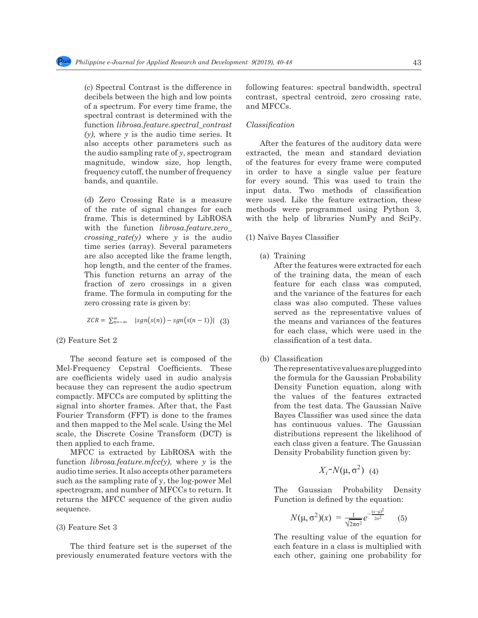(c) Spectral Contrast is the difference in decibels between the high and low points of a spectrum. For every time frame, the spectral contrast is determined with the function *librosa.feature.spectral\_contrast*   $(y)$ , where y is the audio time series. It also accepts other parameters such as  $\frac{1}{2}$  the audio sampling rate of *y*, spectrogram  $\mu$  and sampling rate or y, spectrogram<br>magnitude, window size, hop length, frequency cutoff, the number of frequency in order bands, and quantile. Some other parameters for even

(d) Zero Crossing Rate is a measure of the rate of signal changes for each frame. This is determined by LibROSA with the with the function *librosa.feature.zero\_*  $crossing\_rate(y)$  where *y* is the audio (1) Nainglering. The series of the series of the series. It also accepts (1) time series (array). Several parameters are also accepted like the frame length, hop length, and the center of the frames.  $\mathbf{A}$ This function returns an array of the of fraction of zero crossings in a given frame. The formula in computing for the zero crossing rate is given by:

$$
ZCR = \sum_{n=-\infty}^{\infty} |sgn(s(n)) - sgn(s(n-1))| \quad (3)
$$

### 143 (2) Feature Set 2 (2) Feature Set 2

 $165$  The second feature set is composed of the Mel- $\alpha$ The second feature set is composed of the (b) Cl Mel-Frequency Cepstral Coefficients. These T are coefficients widely used in audio analysis the because they can represent the audio spectrum<br> **Date:** December 13, 2019 signal into shorter frames. After that, the Fast fi **EXECUTE: FIGURE:** Transform (FFT) is done to the frames Mel Power Mel Pransform (FFT) is done to the frames and then mapped to the Mel scale. Using the Mel scale of the scale of the scale page and line numbers for the continuous value  $\overline{a}$  $\frac{1}{2}$  then applied to each frame. compactly. MFCCs are computed by splitting the scale, the Discrete Cosine Transform (DCT) is

157 The third feature set is the previously entitled for the previously entitled feature of the previously-Normal or Noisy-Normal or Noisy Normal or Noisy-Normal or Normal or Normal or Normal or Normal or Normal or Normal function *librosa.feature.mfcc(y)*, where y is the audio time series. It also accepts other parameters  $X_i \sim N(\mu, \sigma^2)$  (4) such as the sampling rate of y, the log-power Mel<br>construction and number of MECC to pature. It spectrogram, and number of MFCCs to return. It returns the MFCC sequence of the given audio Function is defined b:<br>500110000 sequence.

#### (3) Feature Set 3

The third feature set is the superset of the previously enumerated feature vectors with the each other, gainin  $D_{\rm eff}$  and  $D_{\rm eff}$  are corrections:  $D_{\rm eff}$  and  $D_{\rm eff}$  are corrections:  $D_{\rm eff}$ 

following features: spectral bandwidth, spectral contrast, spectral centroid, zero crossing rate, and MFCCs.

#### *Classification*

 $11$ fique, mindow size, hop length, and center frequencies. This function  $a$ After the features of the auditory data were extracted, the mean and standard deviation of the features for every frame were computed in order to have a single value per feature for every sound. This was used to train the input data. Two methods of classification were used. Like the feature extraction, these methods were programmed using Python 3, with the help of libraries NumPy and SciPy.

# e.zero\_<br>audio (1) Naïve Bayes Classifier

(a) Training

After the features were extracted for each **Philippines Philippines Philippines Philippines Philippines Philippines Philippines Philippine Philippine Philippine Philippine Philippine Philippine Philippine Philippine Philippine Philip** feature for each class was computed, and the variance of the features for each class was also computed. These values served as the representative values of the means and variances of the features for each class, which were used in the classification of a test data. **Development**

(b) Classification

y Cepstral Coefficients. These **The representative values are plugged** into the formula for the Gaussian Probability present the audio spectrum **Density Function equation**, along with the values of the features extracted from the test data. The Gaussian Naïve  $\text{FFT}$ ) is done to the frames Bayes Classifier was used since the data  $\mathbb{R}^n$  and  $\mathbb{R}^n$  are  $\mathbb{R}^n$  and  $\mathbb{R}^n$  and  $\mathbb{R}^n$  and  $\mathbb{R}^n$  and  $\mathbb{R}^n$  and  $\mathbb{R}^n$  and  $\mathbb{R}^n$  and  $\mathbb{R}^n$  and  $\mathbb{R}^n$  and  $\mathbb{R}^n$  and  $\mathbb{R}^n$  and  $\mathbb{R}^n$  and  $\mathbb{R}^n$  distributions represent the likelihood of Frame.<br>  $\alpha$  frame.<br>  $\alpha$  and  $\alpha$  and  $\alpha$  area a dash to noise a deal a deal and  $\alpha$  and  $\alpha$  area deal and  $\alpha$  and  $\alpha$  area deal at the Gaussian extracted by LibROSA with the Density Probability function given by:

$$
X_i^{\sim}N(\mu, \sigma^2)
$$
 (4)

The Gaussian Probability Density Density Function is defined by the equation:

$$
N(\mu, \sigma^2)(x) = \frac{1}{\sqrt{2\pi\sigma^2}} e^{-\frac{(x-\mu)^2}{2\sigma^2}} \tag{5}
$$

The resulting value of the equation for Note: **Kindly return this form in either .doc or .docx format** (or with <sup>a</sup> parallel PDF, but each feature in a class is multiplied with each other, gaining one probability for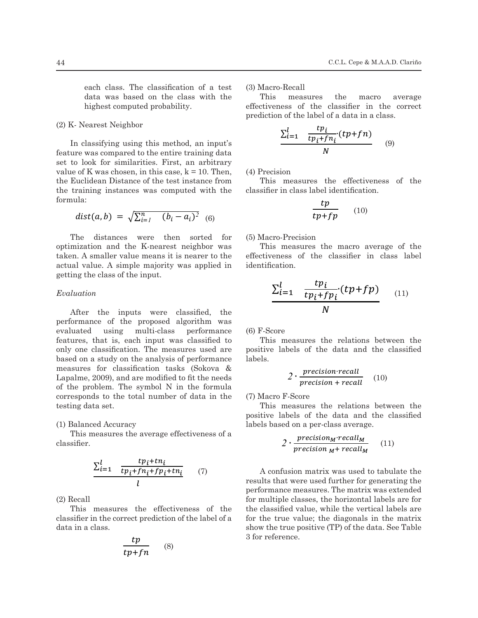each class. The classification of a test (3) Ma data was based on the class with the This measures the macro average highest computed probability. The effectiveness of the classic data was ested to be classes.

)() <sup>=</sup> *<sup>1</sup>*

<sup>√</sup>*22* −(−)2

# (2) K- Nearest Neighbor

In classifying using this method, an input's  $\frac{P_{\ell}P_{\ell}P_{\ell}}{M}$  (9)  $\frac{1}{2}$  feature was compared to the entire training data set to  $\frac{1}{2}$  set to the entire training data set to look for similarities. First, an arbitrary value of K was chosen, in this case,  $k = 10$ . Then, (4) Precision the Euclidean Distance of the test instance from This measur the training instances was computed with the formula: 192 (2) K-  $\Gamma$ 

(,*<sup>2</sup>*

$$
dist(a, b) = \sqrt{\sum_{i=1}^{n} (b_i - a_i)^2}
$$
 (6)

The distances were then sorted for  $(5)$ optimization and the K-nearest neighbor was  $\alpha$  taken. A smaller value means it is nearer to the actual value. A simple majority was applied in  $\frac{2}{3}$  at time the class of the input getting the class of the input. 236

#### *Evaluation*

After the inputs were classified, the  $N$ performance of the proposed algorithm was  $\frac{1}{2}$  and  $\frac{1}{2}$  and  $\frac{1}{2}$  and  $\frac{1}{2}$  and class of class of class of class of class of class of class of class of class of class of class of class of class of class evaluated using multi-class performance features, that is, each input was classified to only one classification. The measures used are based on a study on the analysis of performance labels. measures for classification tasks (Sokova & *precision-recall* Lapalme, 2009), and are modified to fit the needs  $2 \cdot \frac{precision + recall}{m_ecisin + recall}$  (10)  $\frac{1}{2}$  precisio of the problem. The symbol N in the formula precisio corresponds to the total number of data in the (7) Macro F-Score testing data set. lesting data set. 203 *Evaluation* i-class performan

## (1) Balanced Accuracy

This measures the average effectiveness of a 246 on a per-class average. 246 on a per-class average. classifier.  $\frac{1}{T}$  $24.5$ 

$$
\frac{\sum_{i=1}^{l} \frac{tp_i + tn_i}{tp_i + fn_i + fp_i + tn_i}}{l}
$$
 (7) A confusion matrix was used to tabulate the results that were used further for generating the performance measure. The matrix was extended

(2) Recall

This measures the effectiveness of the the classified value,  $\nu$ classifier in the correct prediction of the label of a data in a class.

$$
\frac{tp}{tp+fn} \qquad (8)
$$

(3) Macro-Recall

This measures the macro average lity. effectiveness of the classifier in the correct prediction of the label of a data in a class.

223 This measures the macro average effectiveness of the classifier in the correct prediction of the

$$
\Sigma_{i=1}^{l} \quad \frac{tp_{i}}{tp_{i}+fn_{i}}(tp+fn)
$$
\nto the entire training data

\n(9)

(4) Precision

 $\frac{29}{2}$  of the test instance from This measures the effectiveness of the classifier in class label identification.

$$
\frac{tp}{tp+fp} \qquad (b_i - a_i)^2 \quad (6)
$$

(5) Macro-Precision

earest neighbor was This measures the macro average of the  $2$ ans it is nearer to the effectiveness of the classifier in class label identification.

7 7 199 The distances were then sorted for optimization and the K-nearest neighbor was taken. A smaller ∑ =1 + ∙(+ ) 237 (11) (11) =1 + ∙(+ ) ∑ =1 + ∙(+ ) 237 (11)

(6) F-Score

the measures used are positive labels of the data and the classified at was classified to This measures the relations between the labels.

$$
2 \cdot \frac{precision \cdot recall}{precision + recall} \quad (10)
$$

(7) Macro F-Score

positive labels of the data and the classified This measures the relations between the labels based on a per-class average.

$$
2 \cdot \frac{precision_M \cdot recall_M}{precision_M + recall_M}
$$
 (11)

data in a class.<br>Show the true positive (TP) of the data. See Table  $\frac{t}{f p_i + t n_i}$  (7) A confusion matrix was used to tabulate the  $\frac{1}{2}$  results that were used further for generating the performance measures. The matrix was extended <sup>26</sup><sub>1</sub> for the classes, the horizontal labels are for the true value; the matrix in the matrix in the matrix in the matrix in the matrix in the matrix in the matrix in the matrix in the matrix in the matrix in the matrix encenveness of the true classified value; while the vertical labels are diction of the label of a for the true value; the diagonals in the matrix  $3$  for reference. performance measures. The matrix was extended<br>for multiple classes, the horizontal labels are for effectiveness of the the classified value, while the vertical labels are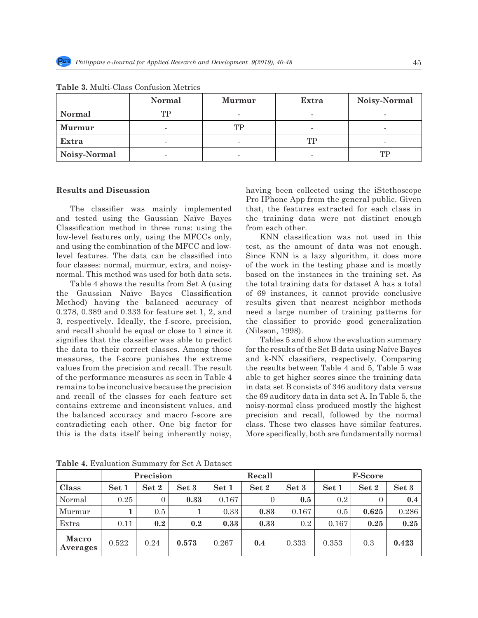|               | <b>Normal</b>            | <b>Murmur</b> | Extra                    | Noisy-Normal |  |
|---------------|--------------------------|---------------|--------------------------|--------------|--|
| Normal        | TР                       |               |                          |              |  |
| <b>Murmur</b> | $\overline{\phantom{a}}$ |               | $\overline{\phantom{a}}$ |              |  |
| Extra         |                          |               | TP                       | -            |  |
| Noisy-Normal  | ٠                        |               | $\overline{\phantom{a}}$ |              |  |

**Table 3.** Multi-Class Confusion Metrics

#### **Results and Discussion**

The classifier was mainly implemented and tested using the Gaussian Naïve Bayes Classification method in three runs: using the low-level features only, using the MFCCs only, and using the combination of the MFCC and lowlevel features. The data can be classified into four classes: normal, murmur, extra, and noisynormal. This method was used for both data sets.

Table 4 shows the results from Set A (using the Gaussian Naïve Bayes Classification Method) having the balanced accuracy of 0.278, 0.389 and 0.333 for feature set 1, 2, and 3, respectively. Ideally, the f-score, precision, and recall should be equal or close to 1 since it signifies that the classifier was able to predict the data to their correct classes. Among those measures, the f-score punishes the extreme values from the precision and recall. The result of the performance measures as seen in Table 4 remains to be inconclusive because the precision and recall of the classes for each feature set contains extreme and inconsistent values, and the balanced accuracy and macro f-score are contradicting each other. One big factor for this is the data itself being inherently noisy, having been collected using the iStethoscope Pro IPhone App from the general public. Given that, the features extracted for each class in the training data were not distinct enough from each other.

KNN classification was not used in this test, as the amount of data was not enough. Since KNN is a lazy algorithm, it does more of the work in the testing phase and is mostly based on the instances in the training set. As the total training data for dataset A has a total of 69 instances, it cannot provide conclusive results given that nearest neighbor methods need a large number of training patterns for the classifier to provide good generalization (Nilsson, 1998).

Tables 5 and 6 show the evaluation summary for the results of the Set B data using Naïve Bayes and k-NN classifiers, respectively. Comparing the results between Table 4 and 5, Table 5 was able to get higher scores since the training data in data set B consists of 346 auditory data versus the 69 auditory data in data set A. In Table 5, the noisy-normal class produced mostly the highest precision and recall, followed by the normal class. These two classes have similar features. More specifically, both are fundamentally normal

|                          |       | Precision |       |       | Recall         |       |       | <b>F-Score</b> |       |  |
|--------------------------|-------|-----------|-------|-------|----------------|-------|-------|----------------|-------|--|
| Class                    | Set 1 | Set 2     | Set 3 | Set 1 | Set 2          | Set 3 | Set 1 | Set 2          | Set 3 |  |
| Normal                   | 0.25  | $\Omega$  | 0.33  | 0.167 | $\overline{0}$ | 0.5   | 0.2   | $\Omega$       | 0.4   |  |
| Murmur                   |       | 0.5       |       | 0.33  | 0.83           | 0.167 | 0.5   | 0.625          | 0.286 |  |
| Extra                    | 0.11  | 0.2       | 0.2   | 0.33  | 0.33           | 0.2   | 0.167 | 0.25           | 0.25  |  |
| <b>Macro</b><br>Averages | 0.522 | 0.24      | 0.573 | 0.267 | 0.4            | 0.333 | 0.353 | 0.3            | 0.423 |  |

**Table 4.** Evaluation Summary for Set A Dataset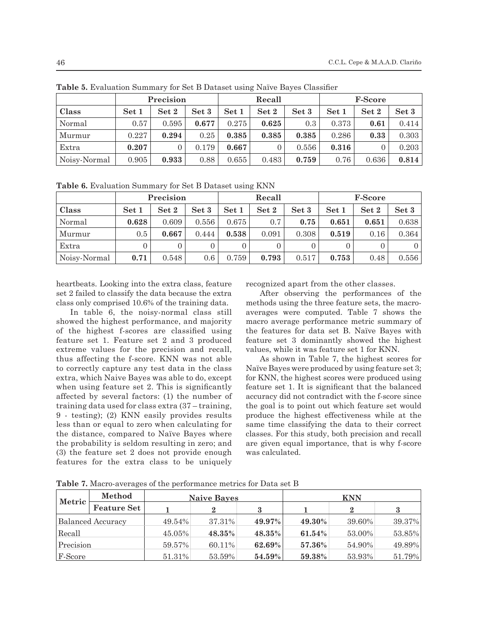|              |       | Precision | Recall |       |       |       | <b>F-Score</b> |                        |       |
|--------------|-------|-----------|--------|-------|-------|-------|----------------|------------------------|-------|
| Class        | Set 1 | Set 2     | Set 3  | Set 1 | Set 2 | Set 3 | Set 1          | $\operatorname{Set} 2$ | Set 3 |
| Normal       | 0.57  | 0.595     | 0.677  | 0.275 | 0.625 | 0.3   | 0.373          | 0.61                   | 0.414 |
| Murmur       | 0.227 | 0.294     | 0.25   | 0.385 | 0.385 | 0.385 | 0.286          | 0.33                   | 0.303 |
| Extra        | 0.207 |           | 0.179  | 0.667 |       | 0.556 | 0.316          |                        | 0.203 |
| Noisy-Normal | 0.905 | 0.933     | 0.88   | 0.655 | 0.483 | 0.759 | 0.76           | 0.636                  | 0.814 |

**Table 5.** Evaluation Summary for Set B Dataset using Naïve Bayes Classifier

**Table 6.** Evaluation Summary for Set B Dataset using KNN

|              | Precision |       |       | Recall |       |       | <b>F-Score</b> |       |       |
|--------------|-----------|-------|-------|--------|-------|-------|----------------|-------|-------|
| Class        | Set 1     | Set 2 | Set 3 | Set 1  | Set 2 | Set 3 | Set 1          | Set 2 | Set 3 |
| Normal       | 0.628     | 0.609 | 0.556 | 0.675  | 0.7   | 0.75  | 0.651          | 0.651 | 0.638 |
| Murmur       | 0.5       | 0.667 | 0.444 | 0.538  | 0.091 | 0.308 | 0.519          | 0.16  | 0.364 |
| Extra        | $\theta$  |       |       |        |       |       |                |       |       |
| Noisy-Normal | 0.71      | 0.548 | 0.6   | 0.759  | 0.793 | 0.517 | 0.753          | 0.48  | 0.556 |

heartbeats. Looking into the extra class, feature set 2 failed to classify the data because the extra class only comprised 10.6% of the training data.

In table 6, the noisy-normal class still showed the highest performance, and majority of the highest f-scores are classified using feature set 1. Feature set 2 and 3 produced extreme values for the precision and recall, thus affecting the f-score. KNN was not able to correctly capture any test data in the class extra, which Naive Bayes was able to do, except when using feature set 2. This is significantly affected by several factors: (1) the number of training data used for class extra (37 – training, 9 - testing); (2) KNN easily provides results less than or equal to zero when calculating for the distance, compared to Naïve Bayes where the probability is seldom resulting in zero; and (3) the feature set 2 does not provide enough features for the extra class to be uniquely recognized apart from the other classes.

After observing the performances of the methods using the three feature sets, the macroaverages were computed. Table 7 shows the macro average performance metric summary of the features for data set B. Naïve Bayes with feature set 3 dominantly showed the highest values, while it was feature set 1 for KNN.

As shown in Table 7, the highest scores for Naïve Bayes were produced by using feature set 3; for KNN, the highest scores were produced using feature set 1. It is significant that the balanced accuracy did not contradict with the f-score since the goal is to point out which feature set would produce the highest effectiveness while at the same time classifying the data to their correct classes. For this study, both precision and recall are given equal importance, that is why f-score was calculated.

| Metric    | Method                   |        | Naive Bayes |           | <b>KNN</b> |              |                            |  |  |
|-----------|--------------------------|--------|-------------|-----------|------------|--------------|----------------------------|--|--|
|           | <b>Feature Set</b>       |        |             |           |            | $\mathbf{2}$ | $\boldsymbol{\mathcal{S}}$ |  |  |
|           | <b>Balanced Accuracy</b> | 49.54% | 37.31%      | 49.97%    | $49.30\%$  | 39.60%       | 39.37%                     |  |  |
| Recall    |                          | 45.05% | 48.35%      | 48.35%    | $61.54\%$  | 53.00%       | 53.85%                     |  |  |
| Precision |                          | 59.57% | 60.11%      | 62.69%    | $57.36\%$  | 54.90%       | 49.89%                     |  |  |
| F-Score   |                          | 51.31% | 53.59%      | $54.59\%$ | 59.38%     | 53.93%       | 51.79%                     |  |  |

**Table 7.** Macro-averages of the performance metrics for Data set B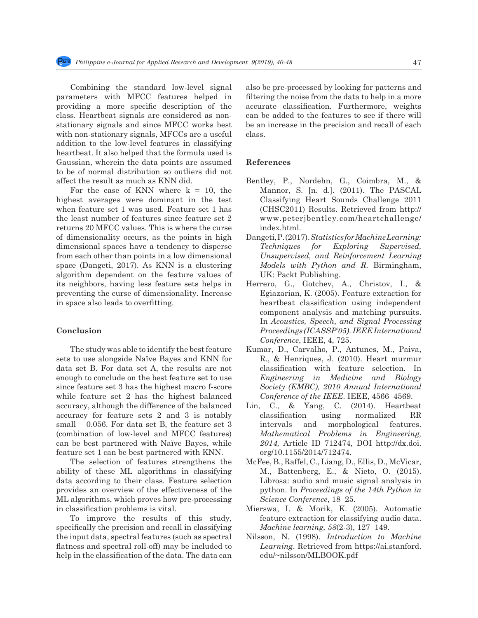Combining the standard low-level signal parameters with MFCC features helped in providing a more specific description of the class. Heartbeat signals are considered as nonstationary signals and since MFCC works best with non-stationary signals, MFCCs are a useful addition to the low-level features in classifying heartbeat. It also helped that the formula used is Gaussian, wherein the data points are assumed to be of normal distribution so outliers did not affect the result as much as KNN did.

For the case of KNN where  $k = 10$ , the highest averages were dominant in the test when feature set 1 was used. Feature set 1 has the least number of features since feature set 2 returns 20 MFCC values. This is where the curse of dimensionality occurs, as the points in high dimensional spaces have a tendency to disperse from each other than points in a low dimensional space (Dangeti, 2017). As KNN is a clustering algorithm dependent on the feature values of its neighbors, having less feature sets helps in preventing the curse of dimensionality. Increase in space also leads to overfitting.

#### **Conclusion**

The study was able to identify the best feature sets to use alongside Naïve Bayes and KNN for data set B. For data set A, the results are not enough to conclude on the best feature set to use since feature set 3 has the highest macro f-score while feature set 2 has the highest balanced accuracy, although the difference of the balanced accuracy for feature sets 2 and 3 is notably small – 0.056. For data set B, the feature set 3 (combination of low-level and MFCC features) can be best partnered with Naïve Bayes, while feature set 1 can be best partnered with KNN.

The selection of features strengthens the ability of these ML algorithms in classifying data according to their class. Feature selection provides an overview of the effectiveness of the ML algorithms, which proves how pre-processing in classification problems is vital.

To improve the results of this study, specifically the precision and recall in classifying the input data, spectral features (such as spectral flatness and spectral roll-off) may be included to help in the classification of the data. The data can also be pre-processed by looking for patterns and filtering the noise from the data to help in a more accurate classification. Furthermore, weights can be added to the features to see if there will be an increase in the precision and recall of each class.

#### **References**

- Bentley, P., Nordehn, G., Coimbra, M., & Mannor, S. [n. d.]. (2011). The PASCAL Classifying Heart Sounds Challenge 2011 (CHSC2011) Results. Retrieved from http:// www.peterjbentley.com/heartchallenge/ index.html.
- Dangeti, P. (2017). *Statistics for Machine Learning: Techniques for Exploring Supervised, Unsupervised, and Reinforcement Learning Models with Python and R.* Birmingham, UK: Packt Publishing.
- Herrero, G., Gotchev, A., Christov, I., & Egiazarian, K. (2005). Feature extraction for heartbeat classification using independent component analysis and matching pursuits. In *Acoustics, Speech, and Signal Processing Proceedings (ICASSP'05)*. *IEEE International Conference*, IEEE, 4, 725.
- Kumar, D., Carvalho, P., Antunes, M., Paiva, R., & Henriques, J. (2010). Heart murmur classification with feature selection. In *Engineering in Medicine and Biology Society (EMBC), 2010 Annual International Conference of the IEEE*. IEEE, 4566–4569.
- Lin, C., & Yang, C. (2014). Heartbeat classification using normalized RR intervals and morphological features. *Mathematical Problems in Engineering, 2014,* Article ID 712474, DOI http://dx.doi. org/10.1155/2014/712474.
- McFee, B., Raffel, C., Liang, D., Ellis, D., McVicar, M., Battenberg, E., & Nieto, O. (2015). Librosa: audio and music signal analysis in python. In *Proceedings of the 14th Python in Science Conference*, 18–25.
- Mierswa, I. & Morik, K. (2005). Automatic feature extraction for classifying audio data. *Machine learning, 58*(2-3), 127–149.
- Nilsson, N. (1998). *Introduction to Machine Learning*. Retrieved from https://ai.stanford. edu/~nilsson/MLBOOK.pdf